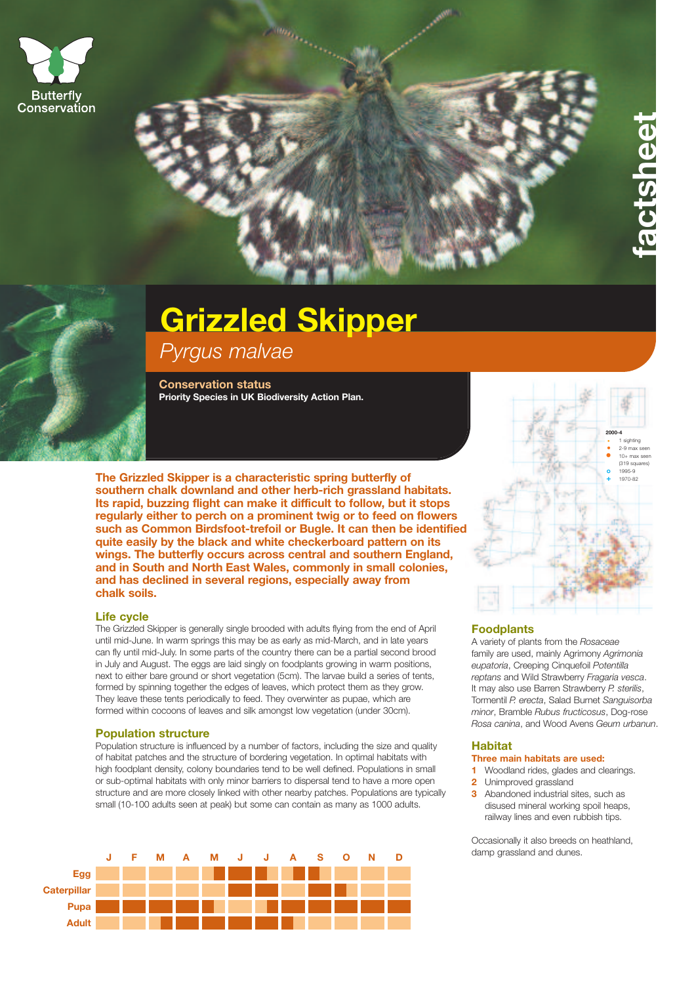



# **Grizzled Skipper**

*Pyrgus malvae*

**Conservation status Priority Species in UK Biodiversity Action Plan.**

**The Grizzled Skipper is a characteristic spring butterfly of southern chalk downland and other herb-rich grassland habitats. Its rapid, buzzing flight can make it difficult to follow, but it stops regularly either to perch on a prominent twig or to feed on flowers such as Common Birdsfoot-trefoil or Bugle. It can then be identified quite easily by the black and white checkerboard pattern on its wings. The butterfly occurs across central and southern England, and in South and North East Wales, commonly in small colonies, and has declined in several regions, especially away from chalk soils.**

# **Life cycle**

The Grizzled Skipper is generally single brooded with adults flying from the end of April until mid-June. In warm springs this may be as early as mid-March, and in late years can fly until mid-July. In some parts of the country there can be a partial second brood in July and August. The eggs are laid singly on foodplants growing in warm positions, next to either bare ground or short vegetation (5cm). The larvae build a series of tents, formed by spinning together the edges of leaves, which protect them as they grow. They leave these tents periodically to feed. They overwinter as pupae, which are formed within cocoons of leaves and silk amongst low vegetation (under 30cm).

# **Population structure**

Population structure is influenced by a number of factors, including the size and quality of habitat patches and the structure of bordering vegetation. In optimal habitats with high foodplant density, colony boundaries tend to be well defined. Populations in small or sub-optimal habitats with only minor barriers to dispersal tend to have a more open structure and are more closely linked with other nearby patches. Populations are typically small (10-100 adults seen at peak) but some can contain as many as 1000 adults.





**f a c t s h e e t**

## **Foodplants**

A variety of plants from the *Rosaceae* family are used, mainly Agrimony *Agrimonia eupatoria*, Creeping Cinquefoil *Potentilla reptans* and Wild Strawberry *Fragaria vesca*. It may also use Barren Strawberry *P. sterilis*, Tormentil *P. erecta*, Salad Burnet *Sanguisorba minor*, Bramble *Rubus fructicosus*, Dog-rose *Rosa canina*, and Wood Avens *Geum urbanun*.

# **Habitat**

## **Three main habitats are used:**

**1** Woodland rides, glades and clearings.

- **2** Unimproved grassland
- **3** Abandoned industrial sites, such as disused mineral working spoil heaps, railway lines and even rubbish tips.

Occasionally it also breeds on heathland, damp grassland and dunes.